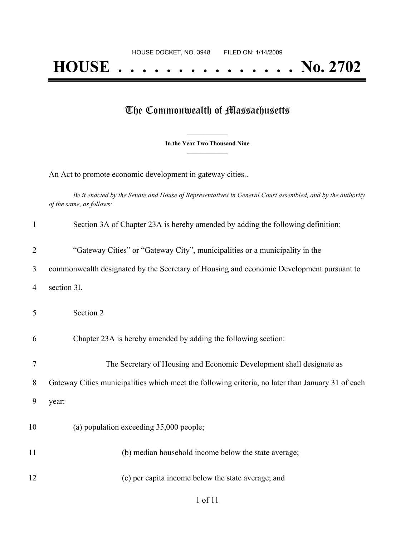# **HOUSE . . . . . . . . . . . . . . . No. 2702**

## The Commonwealth of Massachusetts

**\_\_\_\_\_\_\_\_\_\_\_\_\_\_\_ In the Year Two Thousand Nine \_\_\_\_\_\_\_\_\_\_\_\_\_\_\_**

An Act to promote economic development in gateway cities..

Be it enacted by the Senate and House of Representatives in General Court assembled, and by the authority *of the same, as follows:*

| $\mathbf{1}$   | Section 3A of Chapter 23A is hereby amended by adding the following definition:                   |
|----------------|---------------------------------------------------------------------------------------------------|
| $\overline{2}$ | "Gateway Cities" or "Gateway City", municipalities or a municipality in the                       |
| 3              | commonwealth designated by the Secretary of Housing and economic Development pursuant to          |
| 4              | section 3I.                                                                                       |
| 5              | Section 2                                                                                         |
| 6              | Chapter 23A is hereby amended by adding the following section:                                    |
| 7              | The Secretary of Housing and Economic Development shall designate as                              |
| 8              | Gateway Cities municipalities which meet the following criteria, no later than January 31 of each |
| 9              | year:                                                                                             |
| 10             | (a) population exceeding 35,000 people;                                                           |
| 11             | (b) median household income below the state average;                                              |
| 12             | (c) per capita income below the state average; and                                                |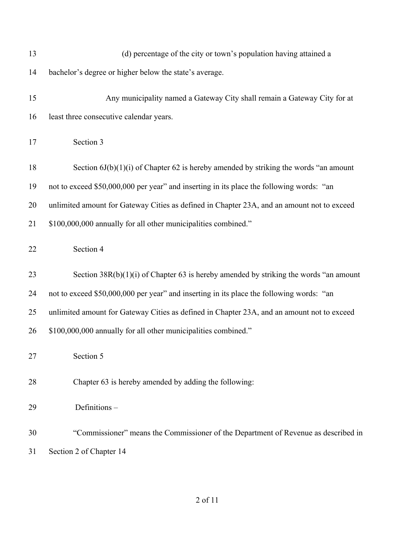| 13 | (d) percentage of the city or town's population having attained a                          |
|----|--------------------------------------------------------------------------------------------|
| 14 | bachelor's degree or higher below the state's average.                                     |
| 15 | Any municipality named a Gateway City shall remain a Gateway City for at                   |
| 16 | least three consecutive calendar years.                                                    |
| 17 | Section 3                                                                                  |
| 18 | Section $6J(b)(1)(i)$ of Chapter 62 is hereby amended by striking the words "an amount     |
| 19 | not to exceed \$50,000,000 per year" and inserting in its place the following words: "an   |
| 20 | unlimited amount for Gateway Cities as defined in Chapter 23A, and an amount not to exceed |
| 21 | \$100,000,000 annually for all other municipalities combined."                             |
| 22 | Section 4                                                                                  |
| 23 | Section $38R(b)(1)(i)$ of Chapter 63 is hereby amended by striking the words "an amount    |
| 24 | not to exceed \$50,000,000 per year" and inserting in its place the following words: "an   |
| 25 | unlimited amount for Gateway Cities as defined in Chapter 23A, and an amount not to exceed |
| 26 | \$100,000,000 annually for all other municipalities combined."                             |
| 27 | Section 5                                                                                  |
| 28 | Chapter 63 is hereby amended by adding the following:                                      |
| 29 | Definitions-                                                                               |
| 30 | "Commissioner" means the Commissioner of the Department of Revenue as described in         |
| 31 | Section 2 of Chapter 14                                                                    |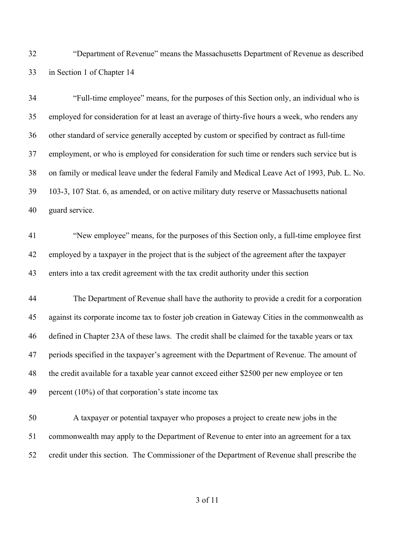"Department of Revenue" means the Massachusetts Department of Revenue as described in Section 1 of Chapter 14

| 34 | "Full-time employee" means, for the purposes of this Section only, an individual who is          |
|----|--------------------------------------------------------------------------------------------------|
| 35 | employed for consideration for at least an average of thirty-five hours a week, who renders any  |
| 36 | other standard of service generally accepted by custom or specified by contract as full-time     |
| 37 | employment, or who is employed for consideration for such time or renders such service but is    |
| 38 | on family or medical leave under the federal Family and Medical Leave Act of 1993, Pub. L. No.   |
| 39 | 103-3, 107 Stat. 6, as amended, or on active military duty reserve or Massachusetts national     |
| 40 | guard service.                                                                                   |
| 41 | "New employee" means, for the purposes of this Section only, a full-time employee first          |
| 42 | employed by a taxpayer in the project that is the subject of the agreement after the taxpayer    |
| 43 | enters into a tax credit agreement with the tax credit authority under this section              |
| 44 | The Department of Revenue shall have the authority to provide a credit for a corporation         |
| 45 | against its corporate income tax to foster job creation in Gateway Cities in the commonwealth as |
| 46 | defined in Chapter 23A of these laws. The credit shall be claimed for the taxable years or tax   |
| 47 | periods specified in the taxpayer's agreement with the Department of Revenue. The amount of      |
| 48 | the credit available for a taxable year cannot exceed either \$2500 per new employee or ten      |
| 49 | percent $(10\%)$ of that corporation's state income tax                                          |
| 50 | A taxpayer or potential taxpayer who proposes a project to create new jobs in the                |

credit under this section. The Commissioner of the Department of Revenue shall prescribe the

commonwealth may apply to the Department of Revenue to enter into an agreement for a tax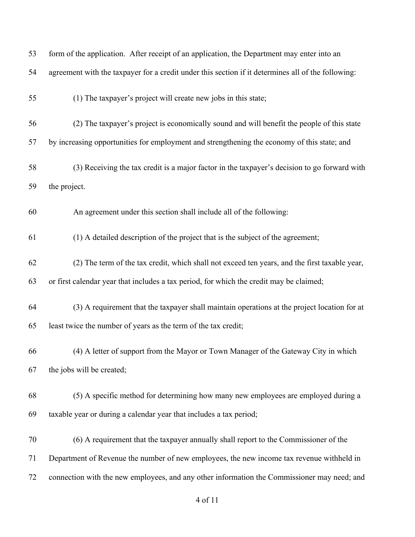| 53 | form of the application. After receipt of an application, the Department may enter into an         |
|----|----------------------------------------------------------------------------------------------------|
| 54 | agreement with the taxpayer for a credit under this section if it determines all of the following: |
| 55 | (1) The taxpayer's project will create new jobs in this state;                                     |
| 56 | (2) The taxpayer's project is economically sound and will benefit the people of this state         |
| 57 | by increasing opportunities for employment and strengthening the economy of this state; and        |
| 58 | (3) Receiving the tax credit is a major factor in the taxpayer's decision to go forward with       |
| 59 | the project.                                                                                       |
| 60 | An agreement under this section shall include all of the following:                                |
| 61 | (1) A detailed description of the project that is the subject of the agreement;                    |
| 62 | (2) The term of the tax credit, which shall not exceed ten years, and the first taxable year,      |
| 63 | or first calendar year that includes a tax period, for which the credit may be claimed;            |
| 64 | (3) A requirement that the taxpayer shall maintain operations at the project location for at       |
| 65 | least twice the number of years as the term of the tax credit;                                     |
| 66 | (4) A letter of support from the Mayor or Town Manager of the Gateway City in which                |
| 67 | the jobs will be created;                                                                          |
| 68 | (5) A specific method for determining how many new employees are employed during a                 |
| 69 | taxable year or during a calendar year that includes a tax period;                                 |
| 70 | (6) A requirement that the taxpayer annually shall report to the Commissioner of the               |
| 71 | Department of Revenue the number of new employees, the new income tax revenue withheld in          |
| 72 | connection with the new employees, and any other information the Commissioner may need; and        |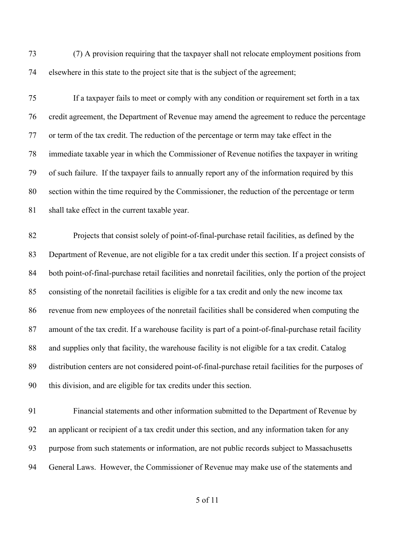(7) A provision requiring that the taxpayer shall not relocate employment positions from elsewhere in this state to the project site that is the subject of the agreement;

 If a taxpayer fails to meet or comply with any condition or requirement set forth in a tax credit agreement, the Department of Revenue may amend the agreement to reduce the percentage or term of the tax credit. The reduction of the percentage or term may take effect in the immediate taxable year in which the Commissioner of Revenue notifies the taxpayer in writing of such failure. If the taxpayer fails to annually report any of the information required by this section within the time required by the Commissioner, the reduction of the percentage or term shall take effect in the current taxable year.

 Projects that consist solely of point-of-final-purchase retail facilities, as defined by the Department of Revenue, are not eligible for a tax credit under this section. If a project consists of both point-of-final-purchase retail facilities and nonretail facilities, only the portion of the project consisting of the nonretail facilities is eligible for a tax credit and only the new income tax revenue from new employees of the nonretail facilities shall be considered when computing the amount of the tax credit. If a warehouse facility is part of a point-of-final-purchase retail facility and supplies only that facility, the warehouse facility is not eligible for a tax credit. Catalog distribution centers are not considered point-of-final-purchase retail facilities for the purposes of this division, and are eligible for tax credits under this section.

 Financial statements and other information submitted to the Department of Revenue by an applicant or recipient of a tax credit under this section, and any information taken for any purpose from such statements or information, are not public records subject to Massachusetts General Laws. However, the Commissioner of Revenue may make use of the statements and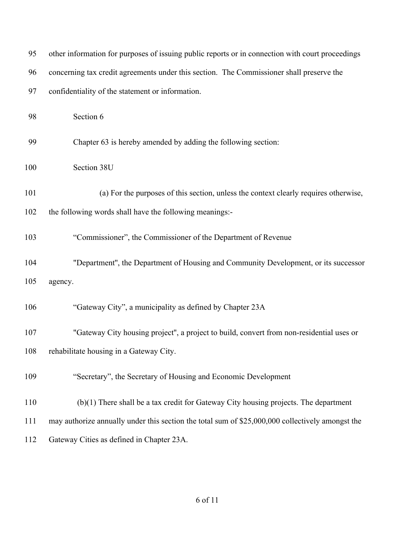| 95  | other information for purposes of issuing public reports or in connection with court proceedings |
|-----|--------------------------------------------------------------------------------------------------|
| 96  | concerning tax credit agreements under this section. The Commissioner shall preserve the         |
| 97  | confidentiality of the statement or information.                                                 |
| 98  | Section 6                                                                                        |
| 99  | Chapter 63 is hereby amended by adding the following section:                                    |
| 100 | Section 38U                                                                                      |
| 101 | (a) For the purposes of this section, unless the context clearly requires otherwise,             |
| 102 | the following words shall have the following meanings:-                                          |
| 103 | "Commissioner", the Commissioner of the Department of Revenue                                    |
| 104 | "Department", the Department of Housing and Community Development, or its successor              |
| 105 | agency.                                                                                          |
| 106 | "Gateway City", a municipality as defined by Chapter 23A                                         |
| 107 | "Gateway City housing project", a project to build, convert from non-residential uses or         |
| 108 | rehabilitate housing in a Gateway City.                                                          |
| 109 | "Secretary", the Secretary of Housing and Economic Development                                   |
| 110 | (b)(1) There shall be a tax credit for Gateway City housing projects. The department             |
| 111 | may authorize annually under this section the total sum of \$25,000,000 collectively amongst the |
| 112 | Gateway Cities as defined in Chapter 23A.                                                        |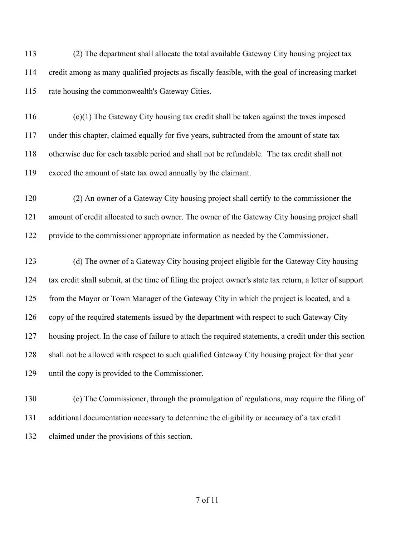(2) The department shall allocate the total available Gateway City housing project tax credit among as many qualified projects as fiscally feasible, with the goal of increasing market rate housing the commonwealth's Gateway Cities.

 (c)(1) The Gateway City housing tax credit shall be taken against the taxes imposed under this chapter, claimed equally for five years, subtracted from the amount of state tax otherwise due for each taxable period and shall not be refundable. The tax credit shall not exceed the amount of state tax owed annually by the claimant.

 (2) An owner of a Gateway City housing project shall certify to the commissioner the amount of credit allocated to such owner. The owner of the Gateway City housing project shall provide to the commissioner appropriate information as needed by the Commissioner.

 (d) The owner of a Gateway City housing project eligible for the Gateway City housing tax credit shall submit, at the time of filing the project owner's state tax return, a letter of support from the Mayor or Town Manager of the Gateway City in which the project is located, and a copy of the required statements issued by the department with respect to such Gateway City housing project. In the case of failure to attach the required statements, a credit under this section shall not be allowed with respect to such qualified Gateway City housing project for that year until the copy is provided to the Commissioner.

 (e) The Commissioner, through the promulgation of regulations, may require the filing of additional documentation necessary to determine the eligibility or accuracy of a tax credit claimed under the provisions of this section.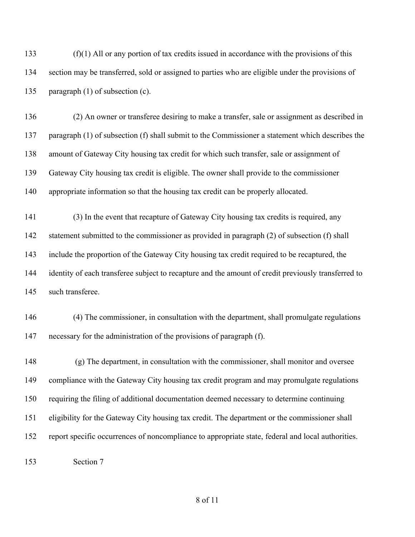(f)(1) All or any portion of tax credits issued in accordance with the provisions of this section may be transferred, sold or assigned to parties who are eligible under the provisions of paragraph (1) of subsection (c).

 (2) An owner or transferee desiring to make a transfer, sale or assignment as described in paragraph (1) of subsection (f) shall submit to the Commissioner a statement which describes the amount of Gateway City housing tax credit for which such transfer, sale or assignment of Gateway City housing tax credit is eligible. The owner shall provide to the commissioner appropriate information so that the housing tax credit can be properly allocated.

 (3) In the event that recapture of Gateway City housing tax credits is required, any statement submitted to the commissioner as provided in paragraph (2) of subsection (f) shall include the proportion of the Gateway City housing tax credit required to be recaptured, the identity of each transferee subject to recapture and the amount of credit previously transferred to such transferee.

 (4) The commissioner, in consultation with the department, shall promulgate regulations necessary for the administration of the provisions of paragraph (f).

 (g) The department, in consultation with the commissioner, shall monitor and oversee compliance with the Gateway City housing tax credit program and may promulgate regulations requiring the filing of additional documentation deemed necessary to determine continuing eligibility for the Gateway City housing tax credit. The department or the commissioner shall report specific occurrences of noncompliance to appropriate state, federal and local authorities.

Section 7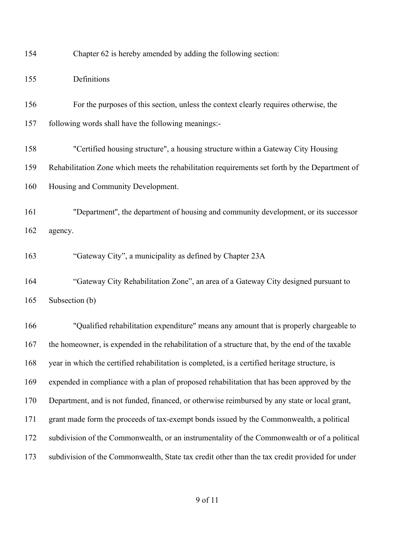Chapter 62 is hereby amended by adding the following section:

| 155 | Definitions                                                                                     |
|-----|-------------------------------------------------------------------------------------------------|
| 156 | For the purposes of this section, unless the context clearly requires otherwise, the            |
| 157 | following words shall have the following meanings:-                                             |
| 158 | "Certified housing structure", a housing structure within a Gateway City Housing                |
| 159 | Rehabilitation Zone which meets the rehabilitation requirements set forth by the Department of  |
| 160 | Housing and Community Development.                                                              |
| 161 | "Department", the department of housing and community development, or its successor             |
| 162 | agency.                                                                                         |
| 163 | "Gateway City", a municipality as defined by Chapter 23A                                        |
| 164 | "Gateway City Rehabilitation Zone", an area of a Gateway City designed pursuant to              |
| 165 | Subsection (b)                                                                                  |
| 166 | "Qualified rehabilitation expenditure" means any amount that is properly chargeable to          |
| 167 | the homeowner, is expended in the rehabilitation of a structure that, by the end of the taxable |
| 168 | year in which the certified rehabilitation is completed, is a certified heritage structure, is  |
| 169 | expended in compliance with a plan of proposed rehabilitation that has been approved by the     |
| 170 | Department, and is not funded, financed, or otherwise reimbursed by any state or local grant,   |
| 171 | grant made form the proceeds of tax-exempt bonds issued by the Commonwealth, a political        |

subdivision of the Commonwealth, State tax credit other than the tax credit provided for under

subdivision of the Commonwealth, or an instrumentality of the Commonwealth or of a political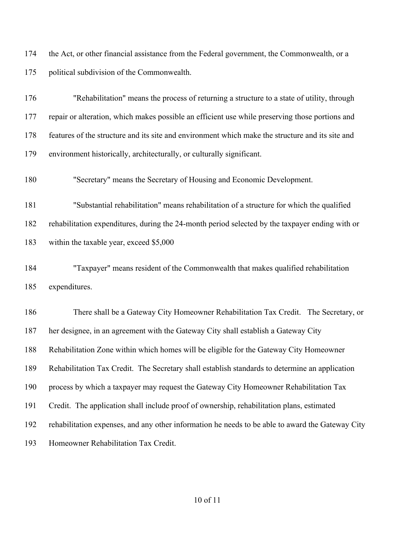the Act, or other financial assistance from the Federal government, the Commonwealth, or a political subdivision of the Commonwealth.

 "Rehabilitation" means the process of returning a structure to a state of utility, through repair or alteration, which makes possible an efficient use while preserving those portions and features of the structure and its site and environment which make the structure and its site and environment historically, architecturally, or culturally significant.

"Secretary" means the Secretary of Housing and Economic Development.

 "Substantial rehabilitation" means rehabilitation of a structure for which the qualified rehabilitation expenditures, during the 24-month period selected by the taxpayer ending with or within the taxable year, exceed \$5,000

 "Taxpayer" means resident of the Commonwealth that makes qualified rehabilitation expenditures.

 There shall be a Gateway City Homeowner Rehabilitation Tax Credit. The Secretary, or her designee, in an agreement with the Gateway City shall establish a Gateway City Rehabilitation Zone within which homes will be eligible for the Gateway City Homeowner Rehabilitation Tax Credit. The Secretary shall establish standards to determine an application process by which a taxpayer may request the Gateway City Homeowner Rehabilitation Tax Credit. The application shall include proof of ownership, rehabilitation plans, estimated rehabilitation expenses, and any other information he needs to be able to award the Gateway City Homeowner Rehabilitation Tax Credit.